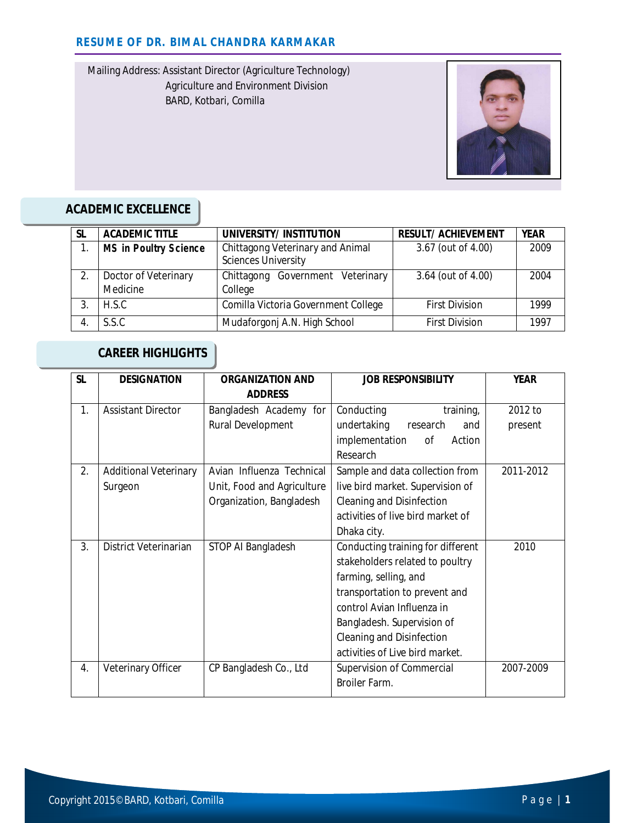Mailing Address: Assistant Director (Agriculture Technology) Agriculture and Environment Division BARD, Kotbari, Comilla



# **ACADEMIC EXCELLENCE**

| <b>SL</b> | <b>ACADEMIC TITLE</b>            | UNIVERSITY/ INSTITUTION                                        | <b>RESULT/ ACHIEVEMENT</b> | <b>YEAR</b> |
|-----------|----------------------------------|----------------------------------------------------------------|----------------------------|-------------|
|           | <b>MS in Poultry Science</b>     | Chittagong Veterinary and Animal<br><b>Sciences University</b> | 3.67 (out of 4.00)         | 2009        |
|           | Doctor of Veterinary<br>Medicine | Chittagong Government Veterinary<br>College                    | 3.64 (out of 4.00)         | 2004        |
|           | H.S.C.                           | Comilla Victoria Government College                            | <b>First Division</b>      | 1999        |
|           | S.S.C                            | Mudaforgonj A.N. High School                                   | <b>First Division</b>      | 1997        |

## **CAREER HIGHLIGHTS**

| <b>SL</b>      | <b>DESIGNATION</b>           | <b>ORGANIZATION AND</b>    | <b>JOB RESPONSIBILITY</b>                 | <b>YEAR</b> |
|----------------|------------------------------|----------------------------|-------------------------------------------|-------------|
|                |                              | <b>ADDRESS</b>             |                                           |             |
| $\mathbf{1}$ . | <b>Assistant Director</b>    | Bangladesh Academy for     | training,<br>Conducting                   | 2012 to     |
|                |                              | Rural Development          | undertaking<br>research<br>and            | present     |
|                |                              |                            | implementation<br>οf<br>Action            |             |
|                |                              |                            | Research                                  |             |
| 2.             | <b>Additional Veterinary</b> | Avian Influenza Technical  | Sample and data collection from           | 2011-2012   |
|                | Surgeon                      | Unit, Food and Agriculture | live bird market. Supervision of          |             |
|                |                              | Organization, Bangladesh   | Cleaning and Disinfection                 |             |
|                |                              |                            | activities of live bird market of         |             |
|                |                              |                            | Dhaka city.                               |             |
| 3.             | District Veterinarian        | STOP AI Bangladesh         | Conducting training for different<br>2010 |             |
|                |                              |                            | stakeholders related to poultry           |             |
|                |                              |                            | farming, selling, and                     |             |
|                |                              |                            | transportation to prevent and             |             |
|                |                              |                            | control Avian Influenza in                |             |
|                |                              |                            | Bangladesh. Supervision of                |             |
|                |                              |                            | Cleaning and Disinfection                 |             |
|                |                              |                            | activities of Live bird market.           |             |
| 4.             | Veterinary Officer           | CP Bangladesh Co., Ltd     | Supervision of Commercial                 | 2007-2009   |
|                |                              |                            | Broiler Farm.                             |             |
|                |                              |                            |                                           |             |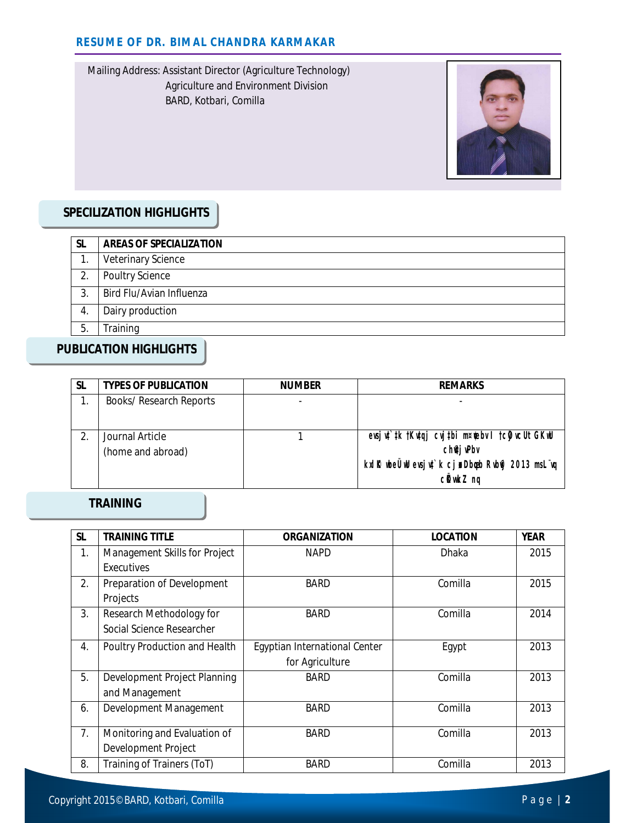Mailing Address: Assistant Director (Agriculture Technology) Agriculture and Environment Division BARD, Kotbari, Comilla



## **SPECILIZATION HIGHLIGHTS**

| <b>SL</b> | <b>AREAS OF SPECIALIZATION</b> |
|-----------|--------------------------------|
|           | <b>Veterinary Science</b>      |
| 2.        | Poultry Science                |
| 3.        | Bird Flu/Avian Influenza       |
| 4.        | Dairy production               |
| 5.        | Training                       |

### **PUBLICATION HIGHLIGHTS**

| -SL | <b>TYPES OF PUBLICATION</b>          | <b>NUMBER</b> | <b>REMARKS</b>                                                                                                                   |
|-----|--------------------------------------|---------------|----------------------------------------------------------------------------------------------------------------------------------|
|     | <b>Books/ Research Reports</b>       |               |                                                                                                                                  |
|     | Journal Article<br>(home and abroad) |               | evsjut`tk †Kutaj cvjtbi m¤tebv I †cijvcUt GKwU<br>ch@j wPbv<br>kxl R ube Uuld evsjut`k cjn Dbapb Rublij 2013 msL vq<br>cikwkZ nq |

#### **TRAINING**

| <b>SL</b> | <b>TRAINING TITLE</b>                                 | <b>ORGANIZATION</b>                              | <b>LOCATION</b> | <b>YEAR</b> |
|-----------|-------------------------------------------------------|--------------------------------------------------|-----------------|-------------|
| 1.        | Management Skills for Project<br>Executives           | <b>NAPD</b>                                      | Dhaka           | 2015        |
| 2.        | Preparation of Development<br>Projects                | <b>BARD</b>                                      | Comilla         | 2015        |
| 3.        | Research Methodology for<br>Social Science Researcher | <b>BARD</b>                                      | Comilla         | 2014        |
| 4.        | Poultry Production and Health                         | Egyptian International Center<br>for Agriculture | Egypt           | 2013        |
| 5.        | Development Project Planning<br>and Management        | <b>BARD</b>                                      | Comilla         | 2013        |
| 6.        | Development Management                                | <b>BARD</b>                                      | Comilla         | 2013        |
| 7.        | Monitoring and Evaluation of<br>Development Project   | <b>BARD</b>                                      | Comilla         | 2013        |
| 8.        | Training of Trainers (ToT)                            | <b>BARD</b>                                      | Comilla         | 2013        |